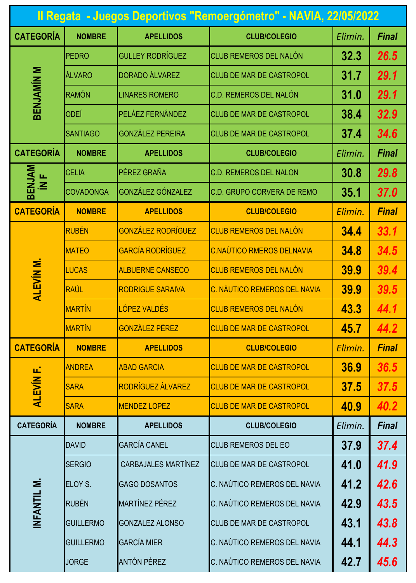| Il Regata - Juegos Deportivos "Remoergómetro" - NAVIA, 22/05/2022 |                  |                            |                                  |         |              |  |  |  |
|-------------------------------------------------------------------|------------------|----------------------------|----------------------------------|---------|--------------|--|--|--|
| <b>CATEGORÍA</b>                                                  | <b>NOMBRE</b>    | <b>APELLIDOS</b>           | <b>CLUB/COLEGIO</b>              | Elimin. | <b>Final</b> |  |  |  |
| <b>BENJAMÍN M</b>                                                 | <b>PEDRO</b>     | <b>GULLEY RODRÍGUEZ</b>    | <b>CLUB REMEROS DEL NALÓN</b>    | 32.3    | 26.5         |  |  |  |
|                                                                   | ÁLVARO           | <b>DORADO ÁLVAREZ</b>      | <b>CLUB DE MAR DE CASTROPOL</b>  | 31.7    | 29.1         |  |  |  |
|                                                                   | RAMÓN            | <b>LINARES ROMERO</b>      | C.D. REMEROS DEL NALÓN           | 31.0    | 29.1         |  |  |  |
|                                                                   | ODEÍ             | PELÁEZ FERNÁNDEZ           | CLUB DE MAR DE CASTROPOL         | 38.4    | 32.9         |  |  |  |
|                                                                   | <b>SANTIAGO</b>  | <b>GONZÁLEZ PEREIRA</b>    | CLUB DE MAR DE CASTROPOL         | 37.4    | 34.6         |  |  |  |
| <b>CATEGORÍA</b>                                                  | <b>NOMBRE</b>    | <b>APELLIDOS</b>           | <b>CLUB/COLEGIO</b>              | Elimin. | <b>Final</b> |  |  |  |
| BENJAM<br>$\overline{M}$                                          | <b>CELIA</b>     | PÉREZ GRAÑA                | <b>C.D. REMEROS DEL NALON</b>    | 30.8    | 29.8         |  |  |  |
|                                                                   | <b>COVADONGA</b> | <b>GONZÁLEZ GÓNZALEZ</b>   | C.D. GRUPO CORVERA DE REMO       | 35.1    | 37.0         |  |  |  |
| <b>CATEGORÍA</b>                                                  | <b>NOMBRE</b>    | <b>APELLIDOS</b>           | <b>CLUB/COLEGIO</b>              | Elimin. | <b>Final</b> |  |  |  |
| <b>ALEVIN M.</b>                                                  | RUBÉN            | <b>GONZÁLEZ RODRÍGUEZ</b>  | <b>CLUB REMEROS DEL NALÓN</b>    | 34.4    | 33.1         |  |  |  |
|                                                                   | <b>MATEO</b>     | <b>GARCÍA RODRÍGUEZ</b>    | <b>C.NAÚTICO RMEROS DELNAVIA</b> | 34.8    | 34.5         |  |  |  |
|                                                                   | <b>LUCAS</b>     | <b>ALBUERNE CANSECO</b>    | <b>CLUB REMEROS DEL NALÓN</b>    | 39.9    | 39.4         |  |  |  |
|                                                                   | RAÚL             | <b>RODRIGUE SARAIVA</b>    | C. NÁUTICO REMEROS DEL NAVIA     | 39.9    | 39.5         |  |  |  |
|                                                                   | <b>MARTÍN</b>    | LÓPEZ VALDÉS               | <b>CLUB REMEROS DEL NALÓN</b>    | 43.3    | 44.1         |  |  |  |
|                                                                   | <b>MARTÍN</b>    | <b>GONZÁLEZ PÉREZ</b>      | <b>CLUB DE MAR DE CASTROPOL</b>  | 45.7    | 44.2         |  |  |  |
| <b>CATEGORÍA</b>                                                  | <b>NOMBRE</b>    | <b>APELLIDOS</b>           | <b>CLUB/COLEGIO</b>              | Elimin. | <b>Final</b> |  |  |  |
| μĵ.<br><b>ALEVÍN</b>                                              | <b>ANDREA</b>    | <b>ABAD GARCIA</b>         | <b>CLUB DE MAR DE CASTROPOL</b>  | 36.9    | 36.5         |  |  |  |
|                                                                   | <b>SARA</b>      | RODRÍGUEZ ÁLVAREZ          | <b>CLUB DE MAR DE CASTROPOL</b>  | 37.5    | 37.5         |  |  |  |
|                                                                   | <b>SARA</b>      | <b>MENDEZ LOPEZ</b>        | <b>CLUB DE MAR DE CASTROPOL</b>  | 40.9    | 40.2         |  |  |  |
| <b>CATEGORÍA</b>                                                  | <b>NOMBRE</b>    | <b>APELLIDOS</b>           | <b>CLUB/COLEGIO</b>              | Elimin. | <b>Final</b> |  |  |  |
| Σ<br><b>INFANTIL</b>                                              | <b>DAVID</b>     | <b>GARCÍA CANEL</b>        | <b>CLUB REMEROS DEL EO</b>       | 37.9    | 37.4         |  |  |  |
|                                                                   | <b>SERGIO</b>    | <b>CARBAJALES MARTÍNEZ</b> | <b>CLUB DE MAR DE CASTROPOL</b>  | 41.0    | 41.9         |  |  |  |
|                                                                   | ELOY S.          | <b>GAGO DOSANTOS</b>       | C. NAÚTICO REMEROS DEL NAVIA     | 41.2    | 42.6         |  |  |  |
|                                                                   | RUBÉN            | <b>MARTÍNEZ PÉREZ</b>      | C. NAÚTICO REMEROS DEL NAVIA     | 42.9    | 43.5         |  |  |  |
|                                                                   | <b>GUILLERMO</b> | <b>GONZALEZ ALONSO</b>     | <b>CLUB DE MAR DE CASTROPOL</b>  | 43.1    | 43.8         |  |  |  |
|                                                                   | <b>GUILLERMO</b> | <b>GARCÍA MIER</b>         | C. NAÚTICO REMEROS DEL NAVIA     | 44.1    | 44.3         |  |  |  |
|                                                                   | <b>JORGE</b>     | <b>ANTÓN PÉREZ</b>         | C. NAÚTICO REMEROS DEL NAVIA     | 42.7    | 45.6         |  |  |  |